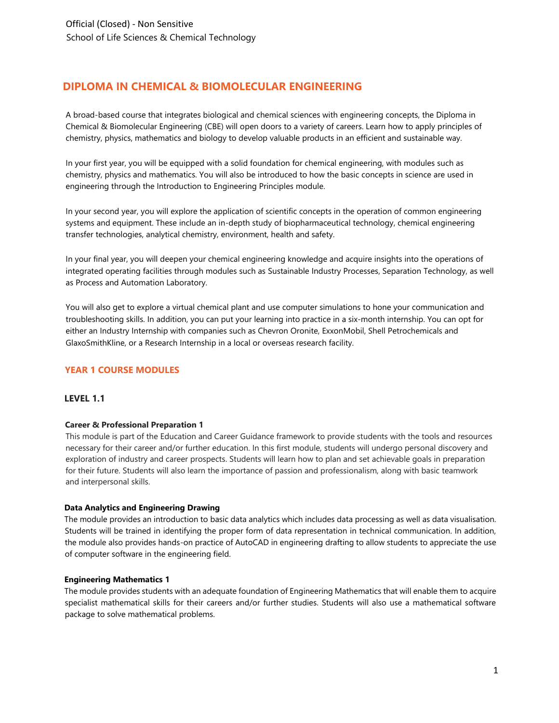# **DIPLOMA IN CHEMICAL & BIOMOLECULAR ENGINEERING**

A broad-based course that integrates biological and chemical sciences with engineering concepts, the Diploma in Chemical & Biomolecular Engineering (CBE) will open doors to a variety of careers. Learn how to apply principles of chemistry, physics, mathematics and biology to develop valuable products in an efficient and sustainable way.

In your first year, you will be equipped with a solid foundation for chemical engineering, with modules such as chemistry, physics and mathematics. You will also be introduced to how the basic concepts in science are used in engineering through the Introduction to Engineering Principles module.

In your second year, you will explore the application of scientific concepts in the operation of common engineering systems and equipment. These include an in-depth study of biopharmaceutical technology, chemical engineering transfer technologies, analytical chemistry, environment, health and safety.

In your final year, you will deepen your chemical engineering knowledge and acquire insights into the operations of integrated operating facilities through modules such as Sustainable Industry Processes, Separation Technology, as well as Process and Automation Laboratory.

You will also get to explore a virtual chemical plant and use computer simulations to hone your communication and troubleshooting skills. In addition, you can put your learning into practice in a six-month internship. You can opt for either an Industry Internship with companies such as Chevron Oronite, ExxonMobil, Shell Petrochemicals and GlaxoSmithKline, or a Research Internship in a local or overseas research facility.

## **YEAR 1 COURSE MODULES**

### <span id="page-0-0"></span>**LEVEL 1.1**

### **Career & Professional Preparation 1**

This module is part of the Education and Career Guidance framework to provide students with the tools and resources necessary for their career and/or further education. In this first module, students will undergo personal discovery and exploration of industry and career prospects. Students will learn how to plan and set achievable goals in preparation for their future. Students will also learn the importance of passion and professionalism, along with basic teamwork and interpersonal skills.

### **Data Analytics and Engineering Drawing**

The module provides an introduction to basic data analytics which includes data processing as well as data visualisation. Students will be trained in identifying the proper form of data representation in technical communication. In addition, the module also provides hands-on practice of AutoCAD in engineering drafting to allow students to appreciate the use of computer software in the engineering field.

### <span id="page-0-1"></span>**Engineering Mathematics 1**

The module provides students with an adequate foundation of Engineering Mathematics that will enable them to acquire specialist mathematical skills for their careers and/or further studies. Students will also use a mathematical software package to solve mathematical problems.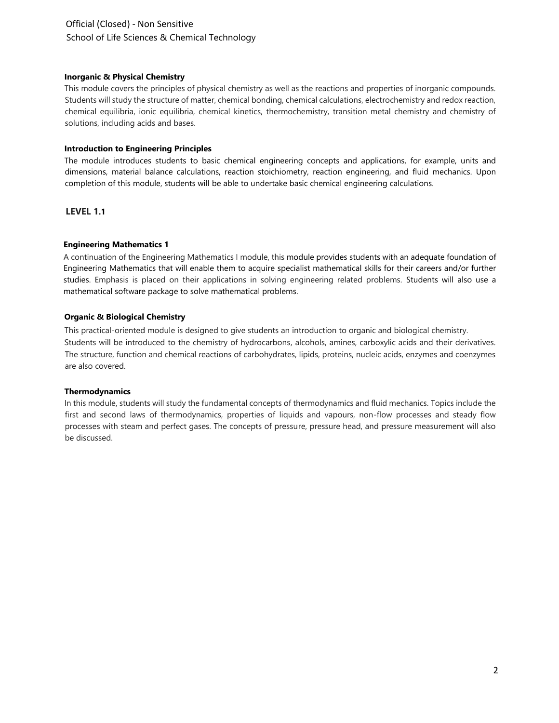# Official (Closed) - Non Sensitive School of Life Sciences & Chemical Technology

## **Inorganic & Physical Chemistry**

This module covers the principles of physical chemistry as well as the reactions and properties of inorganic compounds. Students will study the structure of matter, chemical bonding, chemical calculations, electrochemistry and redox reaction, chemical equilibria, ionic equilibria, chemical kinetics, thermochemistry, transition metal chemistry and chemistry of solutions, including acids and bases.

## **Introduction to Engineering Principles**

The module introduces students to basic chemical engineering concepts and applications, for example, units and dimensions, material balance calculations, reaction stoichiometry, reaction engineering, and fluid mechanics. Upon completion of this module, students will be able to undertake basic chemical engineering calculations.

## **[LEVEL 1](#page-0-0).1**

## **[Engineering Mathematics 1](#page-0-1)**

A continuation of the Engineering Mathematics I module, this module provides students with an adequate foundation of Engineering Mathematics that will enable them to acquire specialist mathematical skills for their careers and/or further studies. Emphasis is placed on their applications in solving engineering related problems. Students will also use a mathematical software package to solve mathematical problems.

## **Organic & Biological Chemistry**

This practical-oriented module is designed to give students an introduction to organic and biological chemistry. Students will be introduced to the chemistry of hydrocarbons, alcohols, amines, carboxylic acids and their derivatives. The structure, function and chemical reactions of carbohydrates, lipids, proteins, nucleic acids, enzymes and coenzymes are also covered.

### **Thermodynamics**

In this module, students will study the fundamental concepts of thermodynamics and fluid mechanics. Topics include the first and second laws of thermodynamics, properties of liquids and vapours, non-flow processes and steady flow processes with steam and perfect gases. The concepts of pressure, pressure head, and pressure measurement will also be discussed.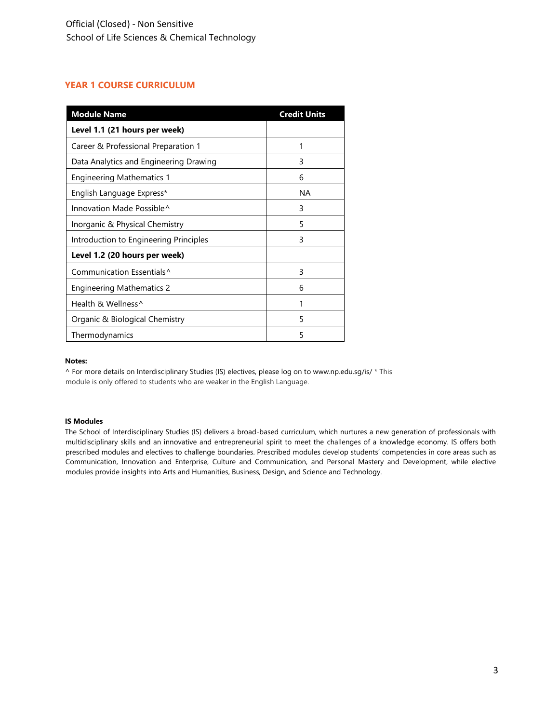## **YEAR 1 COURSE CURRICULUM**

| <b>Module Name</b>                     | <b>Credit Units</b> |
|----------------------------------------|---------------------|
| Level 1.1 (21 hours per week)          |                     |
| Career & Professional Preparation 1    | 1                   |
| Data Analytics and Engineering Drawing | 3                   |
| <b>Engineering Mathematics 1</b>       | 6                   |
| English Language Express*              | ΝA                  |
| Innovation Made Possible^              | 3                   |
| Inorganic & Physical Chemistry         | 5                   |
| Introduction to Engineering Principles | 3                   |
| Level 1.2 (20 hours per week)          |                     |
| Communication Essentials <sup>^</sup>  | 3                   |
| <b>Engineering Mathematics 2</b>       | 6                   |
| Health & Wellness <sup>^</sup>         | 1                   |
| Organic & Biological Chemistry         | 5                   |
| Thermodynamics                         | 5                   |

#### **Notes:**

^ For more details on Interdisciplinary Studies (IS) electives, please log on [to www.np.edu.sg/is/](http://www.np.edu.sg/is/) [\\*](http://www.np.edu.sg/is/) This module is only offered to students who are weaker in the English Language.

#### **IS Modules**

The School of Interdisciplinary Studies (IS) delivers a broad-based curriculum, which nurtures a new generation of professionals with multidisciplinary skills and an innovative and entrepreneurial spirit to meet the challenges of a knowledge economy. IS offers both prescribed modules and electives to challenge boundaries. Prescribed modules develop students' competencies in core areas such as Communication, Innovation and Enterprise, Culture and Communication, and Personal Mastery and Development, while elective modules provide insights into Arts and Humanities, Business, Design, and Science and Technology.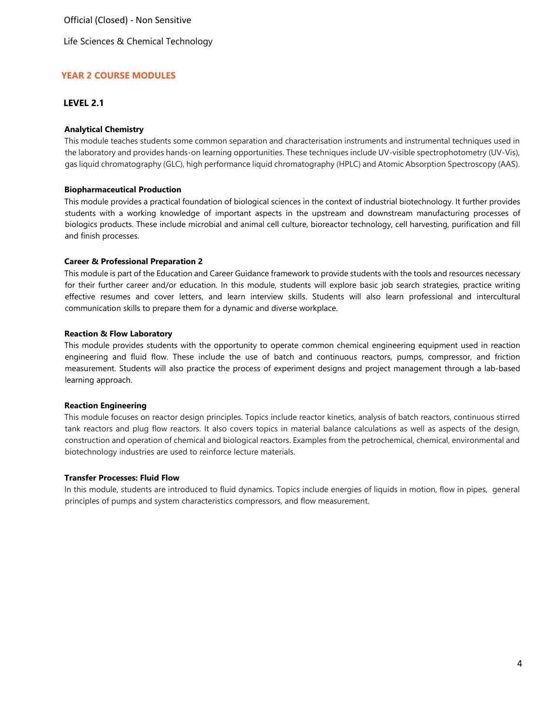Life Sciences & Chemical Technology

## **YEAR 2 COURSE MODULES**

## **LEVEL 2.1**

### **Analytical Chemistry**

This module teaches students some common separation and characterisation instruments and instrumental techniques used in the laboratory and provides hands-on learning opportunities. These techniques include UV-visible spectrophotometry (UV-Vis), gas liquid chromatography (GLC), high performance liquid chromatography (HPLC) and Atomic Absorption Spectroscopy (AAS).

#### **Biopharmaceutical Production**

This module provides a practical foundation of biological sciences in the context of industrial biotechnology. It further provides students with a working knowledge of important aspects in the upstream and downstream manufacturing processes of biologics products. These include microbial and animal cell culture, bioreactor technology, cell harvesting, purification and fill and finish processes.

#### **Career & Professional Preparation 2**

This module is part of the Education and Career Guidance framework to provide students with the tools and resources necessary for their further career and/or education. In this module, students will explore basic job search strategies, practice writing effective resumes and cover letters, and learn interview skills. Students will also learn professional and intercultural communication skills to prepare them for a dynamic and diverse workplace.

#### **Reaction & Flow Laboratory**

This module provides students with the opportunity to operate common chemical engineering equipment used in reaction engineering and fluid flow. These include the use of batch and continuous reactors, pumps, compressor, and friction measurement. Students will also practice the process of experiment designs and project management through a lab-based learning approach.

### **Reaction Engineering**

This module focuses on reactor design principles. Topics include reactor kinetics, analysis of batch reactors, continuous stirred tank reactors and plug flow reactors. It also covers topics in material balance calculations as well as aspects of the design, construction and operation of chemical and biological reactors. Examples from the petrochemical, chemical, environmental and biotechnology industries are used to reinforce lecture materials.

#### **Transfer Processes: Fluid Flow**

In this module, students are introduced to fluid dynamics. Topics include energies of liquids in motion, flow in pipes, general principles of pumps and system characteristics compressors, and flow measurement.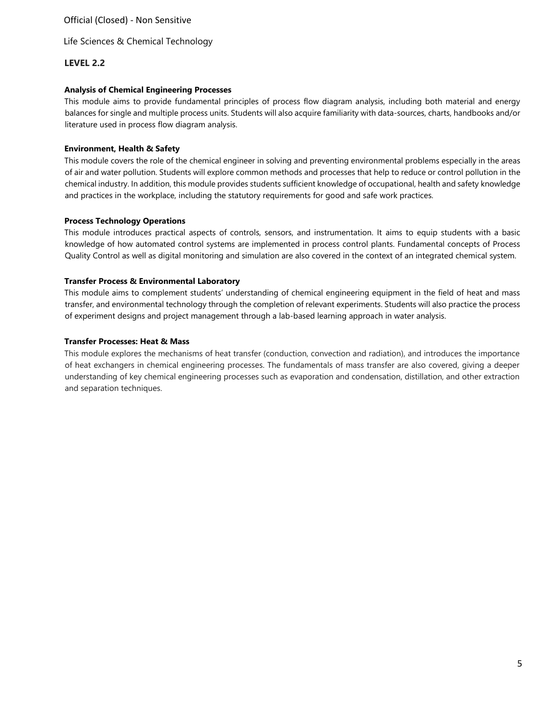Life Sciences & Chemical Technology

## **LEVEL 2.2**

## **Analysis of Chemical Engineering Processes**

This module aims to provide fundamental principles of process flow diagram analysis, including both material and energy balances for single and multiple process units. Students will also acquire familiarity with data-sources, charts, handbooks and/or literature used in process flow diagram analysis.

### **Environment, Health & Safety**

This module covers the role of the chemical engineer in solving and preventing environmental problems especially in the areas of air and water pollution. Students will explore common methods and processes that help to reduce or control pollution in the chemical industry. In addition, this module provides students sufficient knowledge of occupational, health and safety knowledge and practices in the workplace, including the statutory requirements for good and safe work practices.

### **Process Technology Operations**

This module introduces practical aspects of controls, sensors, and instrumentation. It aims to equip students with a basic knowledge of how automated control systems are implemented in process control plants. Fundamental concepts of Process Quality Control as well as digital monitoring and simulation are also covered in the context of an integrated chemical system.

### **Transfer Process & Environmental Laboratory**

This module aims to complement students' understanding of chemical engineering equipment in the field of heat and mass transfer, and environmental technology through the completion of relevant experiments. Students will also practice the process of experiment designs and project management through a lab-based learning approach in water analysis.

### **Transfer Processes: Heat & Mass**

This module explores the mechanisms of heat transfer (conduction, convection and radiation), and introduces the importance of heat exchangers in chemical engineering processes. The fundamentals of mass transfer are also covered, giving a deeper understanding of key chemical engineering processes such as evaporation and condensation, distillation, and other extraction and separation techniques.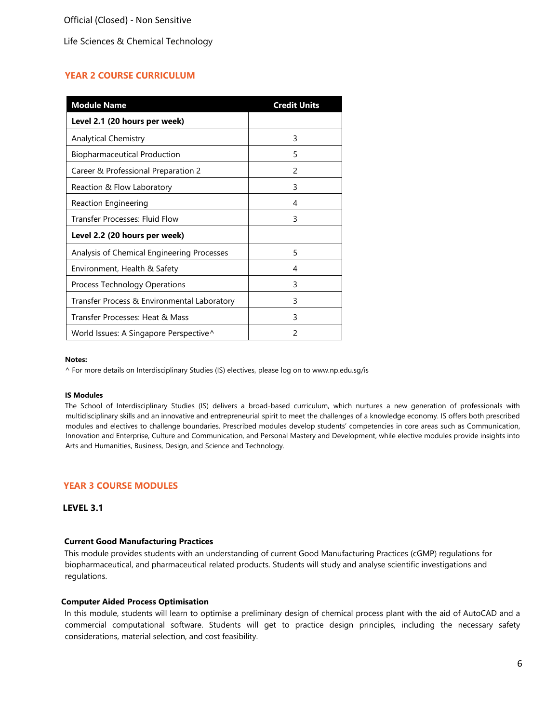Life Sciences & Chemical Technology

## **YEAR 2 COURSE CURRICULUM**

| <b>Module Name</b>                          | <b>Credit Units</b> |
|---------------------------------------------|---------------------|
| Level 2.1 (20 hours per week)               |                     |
| <b>Analytical Chemistry</b>                 | 3                   |
| <b>Biopharmaceutical Production</b>         | 5                   |
| Career & Professional Preparation 2         | $\mathcal{P}$       |
| Reaction & Flow Laboratory                  | 3                   |
| Reaction Engineering                        | 4                   |
| Transfer Processes: Fluid Flow              | 3                   |
| Level 2.2 (20 hours per week)               |                     |
| Analysis of Chemical Engineering Processes  | 5                   |
| Environment, Health & Safety                | 4                   |
| Process Technology Operations               | 3                   |
| Transfer Process & Environmental Laboratory | 3                   |
| Transfer Processes: Heat & Mass             | 3                   |
| World Issues: A Singapore Perspective^      | 2                   |

#### **Notes:**

^ For more details on Interdisciplinary Studies (IS) electives, please log on [to www.np.edu.sg/is](http://www.np.edu.sg/is)

#### **IS Modules**

The School of Interdisciplinary Studies (IS) delivers a broad-based curriculum, which nurtures a new generation of professionals with multidisciplinary skills and an innovative and entrepreneurial spirit to meet the challenges of a knowledge economy. IS offers both prescribed modules and electives to challenge boundaries. Prescribed modules develop students' competencies in core areas such as Communication, Innovation and Enterprise, Culture and Communication, and Personal Mastery and Development, while elective modules provide insights into Arts and Humanities, Business, Design, and Science and Technology.

### **YEAR 3 COURSE MODULES**

#### **LEVEL 3.1**

#### **Current Good Manufacturing Practices**

This module provides students with an understanding of current Good Manufacturing Practices (cGMP) regulations for biopharmaceutical, and pharmaceutical related products. Students will study and analyse scientific investigations and regulations.

### **Computer Aided Process Optimisation**

In this module, students will learn to optimise a preliminary design of chemical process plant with the aid of AutoCAD and a commercial computational software. Students will get to practice design principles, including the necessary safety considerations, material selection, and cost feasibility.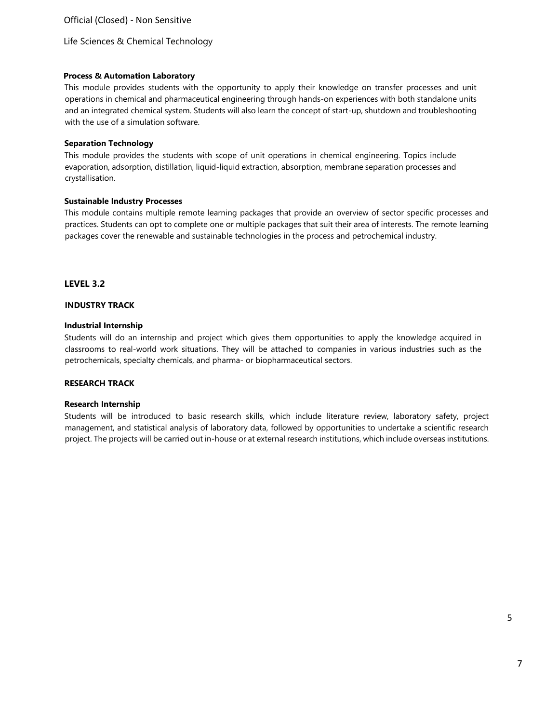Life Sciences & Chemical Technology

## **Process & Automation Laboratory**

This module provides students with the opportunity to apply their knowledge on transfer processes and unit operations in chemical and pharmaceutical engineering through hands-on experiences with both standalone units and an integrated chemical system. Students will also learn the concept of start-up, shutdown and troubleshooting with the use of a simulation software.

## **Separation Technology**

This module provides the students with scope of unit operations in chemical engineering. Topics include evaporation, adsorption, distillation, liquid-liquid extraction, absorption, membrane separation processes and crystallisation.

## **Sustainable Industry Processes**

This module contains multiple remote learning packages that provide an overview of sector specific processes and practices. Students can opt to complete one or multiple packages that suit their area of interests. The remote learning packages cover the renewable and sustainable technologies in the process and petrochemical industry.

## **LEVEL 3.2**

## **INDUSTRY TRACK**

## **Industrial Internship**

Students will do an internship and project which gives them opportunities to apply the knowledge acquired in classrooms to real-world work situations. They will be attached to companies in various industries such as the petrochemicals, specialty chemicals, and pharma- or biopharmaceutical sectors.

## **RESEARCH TRACK**

## **Research Internship**

Students will be introduced to basic research skills, which include literature review, laboratory safety, project management, and statistical analysis of laboratory data, followed by opportunities to undertake a scientific research project. The projects will be carried out in-house or at external research institutions, which include overseas institutions.